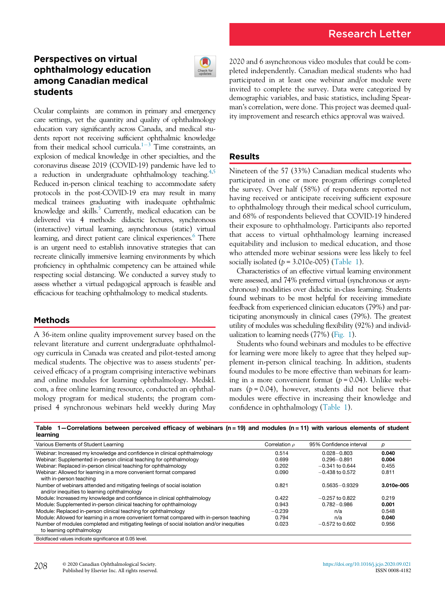# Perspectives on virtual ophthalmology education among Canadian medical students



Ocular complaints are common in primary and emergency care settings, yet the quantity and quality of ophthalmology education vary significantly across Canada, and medical students report not receiving sufficient ophthalmic knowledge from their medical school curricula.<sup>1-[3](#page-1-0)</sup> Time constraints, an explosion of medical knowledge in other specialties, and the coronavirus disease 2019 (COVID-19) pandemic have led to a reduction in undergraduate ophthalmology teaching.<sup>[4](#page-1-1)[,5](#page-1-2)</sup> Reduced in-person clinical teaching to accommodate safety protocols in the post-COVID-19 era may result in many medical trainees graduating with inadequate ophthalmic knowledge and skills.<sup>5</sup> Currently, medical education can be delivered via 4 methods: didactic lectures, synchronous (interactive) virtual learning, asynchronous (static) virtual learning, and direct patient care clinical experiences.<sup>6</sup> There is an urgent need to establish innovative strategies that can recreate clinically immersive learning environments by which proficiency in ophthalmic competency can be attained while respecting social distancing. We conducted a survey study to assess whether a virtual pedagogical approach is feasible and efficacious for teaching ophthalmology to medical students.

## Methods

A 36-item online quality improvement survey based on the relevant literature and current undergraduate ophthalmology curricula in Canada was created and pilot-tested among medical students. The objective was to assess students' perceived efficacy of a program comprising interactive webinars and online modules for learning ophthalmology. Medskl. com, a free online learning resource, conducted an ophthalmology program for medical students; the program comprised 4 synchronous webinars held weekly during May

Number of modules completed and mitigating feelings of social isolation and/or inequities

2020 and 6 asynchronous video modules that could be completed independently. Canadian medical students who had participated in at least one webinar and/or module were invited to complete the survey. Data were categorized by demographic variables, and basic statistics, including Spearman's correlation, were done. This project was deemed quality improvement and research ethics approval was waived.

## Results

Nineteen of the 57 (33%) Canadian medical students who participated in one or more program offerings completed the survey. Over half (58%) of respondents reported not having received or anticipate receiving sufficient exposure to ophthalmology through their medical school curriculum, and 68% of respondents believed that COVID-19 hindered their exposure to ophthalmology. Participants also reported that access to virtual ophthalmology learning increased equitability and inclusion to medical education, and those who attended more webinar sessions were less likely to feel socially isolated  $(p = 3.010e-005)$  [\(Table 1](#page-0-0)).

Characteristics of an effective virtual learning environment were assessed, and 74% preferred virtual (synchronous or asynchronous) modalities over didactic in-class learning. Students found webinars to be most helpful for receiving immediate feedback from experienced clinician educators (79%) and participating anonymously in clinical cases (79%). The greatest utility of modules was scheduling flexibility (92%) and individualization to learning needs (77%) [\(Fig. 1\)](#page-1-4).

Students who found webinars and modules to be effective for learning were more likely to agree that they helped supplement in-person clinical teaching. In addition, students found modules to be more effective than webinars for learning in a more convenient format  $(p = 0.04)$ . Unlike webinars  $(p = 0.04)$ , however, students did not believe that modules were effective in increasing their knowledge and confidence in ophthalmology [\(Table 1](#page-0-0)).

| <u> vullumano sunivali polutiva ulitari ul nosimalo (il- iv) ana invasivo (il- il) mell'anoso vieniento el otaschi</u><br>learning |                    |                         |            |
|------------------------------------------------------------------------------------------------------------------------------------|--------------------|-------------------------|------------|
| Various Elements of Student Learning                                                                                               | Correlation $\rho$ | 95% Confidence interval | D          |
| Webinar: Increased my knowledge and confidence in clinical ophthalmology                                                           | 0.514              | $0.028 - 0.803$         | 0.040      |
| Webinar: Supplemented in-person clinical teaching for ophthalmology                                                                | 0.699              | $0.296 - 0.891$         | 0.004      |
| Webinar: Replaced in-person clinical teaching for ophthalmology                                                                    | 0.202              | $-0.341$ to 0.644       | 0.455      |
| Webinar: Allowed for learning in a more convenient format compared<br>with in-person teaching                                      | 0.090              | $-0.438$ to 0.572       | 0.811      |
| Number of webinars attended and mitigating feelings of social isolation                                                            | 0.821              | $0.5635 - 0.9329$       | 3.010e-005 |

Module: Increased my knowledge and confidence in clinical ophthalmology  $-0.422$   $-0.257$  to 0.822 0.219<br>Module: Supplemented in-person clinical teaching for ophthalmology 0.943 0.782 -0.986 0.001 Module: Supplemented in-person clinical teaching for ophthalmology  $0.943$  0.943 0.782 - 0.986 0.001<br>Module: Replaced in-person clinical teaching for ophthalmology  $-0.239$  n/a  $10.548$ Module: Replaced in-person clinical teaching for ophthalmology  $-0.239$  n/a  $-0.239$  n/a 0.548<br>Module: Allowed for learning in a more convenient format compared with in-person teaching 0.794 n/a n/a 0.040 Module: Allowed for learning in a more convenient format compared with in-person teaching 0.794 n/a n/a n/a 0.040<br>Number of modules completed and mitigating feelings of social isolation and/or inequities 0.023 - 0.572 to 0

<span id="page-0-0"></span>Table 1—Correlations between perceived efficacy of webinars (n = 19) and modules (n = 11) with various elements of student

208 © 2020 Canadian Ophthalmological Society. Published by Elsevier Inc. All rights reserved.

and/or inequities to learning ophthalmology

Boldfaced values indicate significance at 0.05 level.

to learning ophthalmology

 $-0.572$  to 0.602